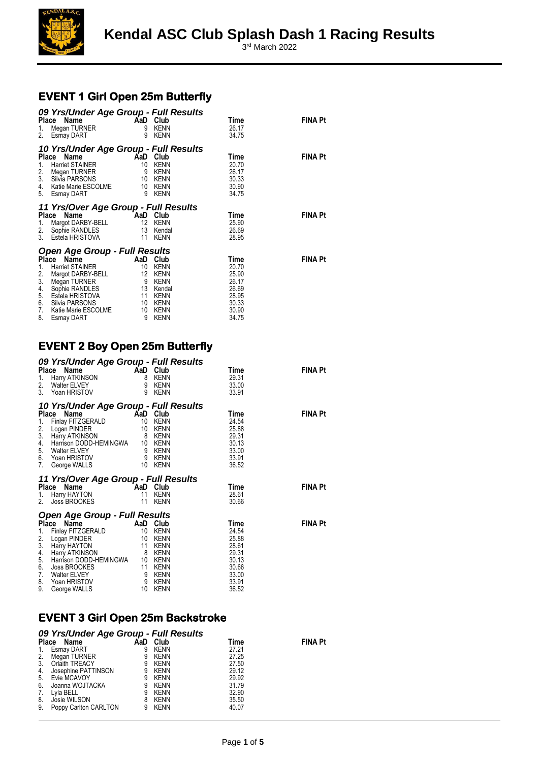

3 rd March 2022

### **EVENT 1 Girl Open 25m Butterfly**

| 1.<br>2.                               | 09 Yrs/Under Age Group - Full Results<br><b>AaD</b> Club<br>Place Name<br>Megan TURNER<br><b>Esmay DART</b>                                                                                                         | 9<br>9                                     | KENN<br><b>KENN</b>                                                        | Time<br>26.17<br>34.75                                                       | <b>FINA Pt</b> |
|----------------------------------------|---------------------------------------------------------------------------------------------------------------------------------------------------------------------------------------------------------------------|--------------------------------------------|----------------------------------------------------------------------------|------------------------------------------------------------------------------|----------------|
| 1.<br>2.<br>3.<br>4.<br>5.             | 10 Yrs/Under Age Group - Full Results<br>Place Name<br><b>Harriet STAINER</b><br>Megan TURNER<br>Silvia PARSONS<br>Silvia PARSONS<br>Katie Marie ESCOLME<br>Esmay DART                                              | 10<br>9<br>10<br>9                         | AaD Club<br><b>KENN</b><br>KENN<br>KENN<br>10 KENN<br>KENN                 | Time<br>20.70<br>26.17<br>30.33<br>30.90<br>34.75                            | <b>FINA Pt</b> |
| 1.<br>2.<br>3 <sub>1</sub>             | 11 Yrs/Over Age Group - Full Results<br>Place Name<br>Margot DARBY-BELL<br>Sophie RANDLES<br>Estela HRISTOVA                                                                                                        | AaD Club<br>12<br>11                       | KENN<br>13 Kendal<br>KENN                                                  | Time<br>25.90<br>26.69<br>28.95                                              | <b>FINA Pt</b> |
| 1.<br>2.<br>3.<br>4.<br>6.<br>7.<br>8. | <b>Open Age Group - Full Results</b><br>Name<br>Place<br>Harriet STAINER<br>Margot DARBY-BELL<br>Megan TURNER<br>Sophie RANDLES<br>5. Estela HRISTOVA<br>Silvia PARSONS<br>Katie Marie ESCOLME<br><b>Esmay DART</b> | 10<br>12<br>9<br>13<br>11<br>10<br>10<br>9 | AaD Club<br>KENN<br>KENN<br>KENN<br>Kendal<br>KENN<br>KENN<br>KENN<br>KENN | Time<br>20.70<br>25.90<br>26.17<br>26.69<br>28.95<br>30.33<br>30.90<br>34.75 | <b>FINA Pt</b> |

#### **EVENT 2 Boy Open 25m Butterfly**

| 1.<br>2.<br>3.                                     | 09 Yrs/Under Age Group - Full Results<br>Place<br>Ce Name<br>Harry ATKINSON<br>Walter ELVEY<br>Walter ELVEY<br>9 KENN<br>Yoan HRISTOV                                                                                     | 9                                                | KENN                                                                                              | Time<br>29.31<br>33.00<br>33.91                                                       | <b>FINA Pt</b> |
|----------------------------------------------------|---------------------------------------------------------------------------------------------------------------------------------------------------------------------------------------------------------------------------|--------------------------------------------------|---------------------------------------------------------------------------------------------------|---------------------------------------------------------------------------------------|----------------|
| 1.<br>$\frac{2}{3}$ .<br>4.<br>5.<br>7.            | 10 Yrs/Under Age Group - Full Results<br>Place Name<br>Finlay FITZGERALD<br>Logan PINDER<br>Harry ATKINSON<br>Harrison DODD-HEMINGWA 10<br>Walter ELVEY<br>6. Yoan HRISTOV<br>George WALLS                                | AaD<br>10<br>10<br>8<br>10                       | Club<br><b>KENN</b><br><b>KENN</b><br><b>KENN</b><br>KENN<br>9 KENN<br>9 KENN<br>KENN             | Time<br>24.54<br>25.88<br>29.31<br>30.13<br>33.00<br>33.91<br>36.52                   | <b>FINA Pt</b> |
| 1.<br>2.                                           | 11 Yrs/Over Age Group - Full Results<br>Place<br>Name<br>Harry HAYTON<br>Joss BROOKES                                                                                                                                     | AaD Club<br>11<br>11                             | <b>KENN</b><br>KENN                                                                               | Time<br>28.61<br>30.66                                                                | <b>FINA Pt</b> |
| 1.<br>2.<br>3.<br>4.<br>5.<br>6.<br>7.<br>8.<br>9. | <b>Open Age Group - Full Results</b><br>Place<br>Name<br>Finlay FITZGERALD<br>Logan PINDER<br>Harry HAYTON<br>Harry ATKINSON<br>Harrison DODD-HEMINGWA 10<br>Joss BROOKES<br>Walter ELVEY<br>Yoan HRISTOV<br>George WALLS | AaD<br>10<br>10<br>11<br>8<br>11<br>9<br>9<br>10 | Club<br>KENN<br>KENN<br>KENN<br>KENN<br>KENN<br><b>KENN</b><br><b>KENN</b><br><b>KENN</b><br>KENN | Time<br>24.54<br>25.88<br>28.61<br>29.31<br>30.13<br>30.66<br>33.00<br>33.91<br>36.52 | <b>FINA Pt</b> |

#### **EVENT 3 Girl Open 25m Backstroke**

| 1.<br>2.<br>3.<br>4.<br>5.<br>6.<br>7. | 09 Yrs/Under Age Group - Full Results<br>Place Name<br>Esmay DART<br>Megan TURNER<br>Orlaith TREACY<br>Josephine PATTINSON<br>Evie MCAVOY<br>Joanna WOJTACKA<br>Lyla BELL | AaD<br>9<br>9<br>9<br>9<br>9<br>9<br>9 | Club<br>KENN<br><b>KENN</b><br><b>KENN</b><br><b>KENN</b><br><b>KENN</b><br><b>KENN</b><br><b>KENN</b> | Time<br>27.21<br>27.25<br>27.50<br>29.12<br>29.92<br>31.79<br>32.90 | <b>FINA Pt</b> |
|----------------------------------------|---------------------------------------------------------------------------------------------------------------------------------------------------------------------------|----------------------------------------|--------------------------------------------------------------------------------------------------------|---------------------------------------------------------------------|----------------|
| 8.                                     | Josie WILSON                                                                                                                                                              | 8                                      | KENN                                                                                                   | 35.50                                                               |                |
| 9.                                     | Poppy Carlton CARLTON                                                                                                                                                     | 9                                      | <b>KENN</b>                                                                                            | 40.07                                                               |                |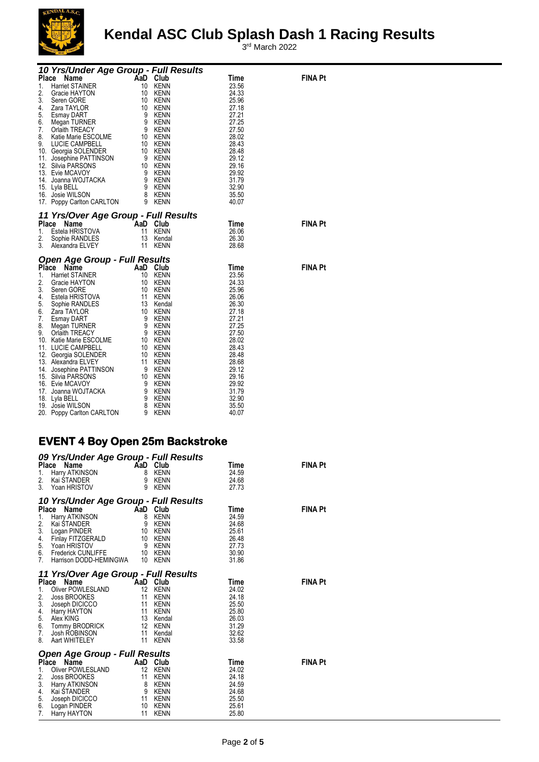

3 rd March 2022

| 10 Yrs/Under Age Group - Full Results                                                                                                                                                                                                                                                                 |  |                                                                                                                                                                                          |                |
|-------------------------------------------------------------------------------------------------------------------------------------------------------------------------------------------------------------------------------------------------------------------------------------------------------|--|------------------------------------------------------------------------------------------------------------------------------------------------------------------------------------------|----------------|
| 10 Vrs/Under Age Group - Full P<br>Place Name<br>1. Harrie STAINER<br>1. Harrie STAINER<br>1. Seren GORE<br>4. Zara TAYLOR<br>3. Seren GORE<br>4. Zara TAYLOR<br>5. Esmay DART<br>5. Esmay DART<br>5. Esmay DART<br>7. Orlaith TREACY<br>7. Orlaith TR                                                |  | Time<br>23.56<br>24.33<br>25.96<br>27.18<br>27.21<br>27.25<br>27.50<br>28.02<br>28.43<br>28.48<br>29.12<br>29.16<br>29.92<br>31.79<br>32.90<br>35.50<br>40.07                            | <b>FINA Pt</b> |
| <b>11 Yrs/Over Age Group - Full Results<br/> Place Name AaD Club<br/> 1. Estela HRISTOVA 11 KENN<br/> 2. Sophie RANDLES 13 Kendal<br/> 3. Alexandra ELVEY 11 KENN</b><br><b>Place Name CAAD Club</b><br>1. Estela HRISTOVA 11 KENN<br>2. Sophie RANDLES 13 Kenda<br>3. Alexandra ELVEY 11 KENN        |  | Time<br>26.06<br>26.30<br>28.68                                                                                                                                                          | <b>FINA Pt</b> |
| Open Age Group - Full Results<br><b>Open Age Group - Full Results<br/> Place Name AaD Club<br/> 1. Harriet STAINER 10 KENN<br/> 2. Gracie HAYTON 10 KENN<br/> 3. Seen GORE 10 10 KENN<br/> 4. Estela HRISTOVA 11 KENN<br/> 5. Sophie RANDLES 13 Kendal<br/> 6. Zara TAYLOR 10 KENN<br/> 5. Sophie</b> |  | Time<br>23.56<br>24.33<br>25.96<br>26.06<br>26.30<br>27.18<br>27.21<br>27.25<br>27.50<br>28.02<br>28.43<br>28.48<br>28.68<br>29.12<br>29.16<br>29.92<br>31.79<br>32.90<br>35.50<br>40.07 | <b>FINA Pt</b> |

#### **EVENT 4 Boy Open 25m Backstroke**

|                                                        | 09 Yrs/Under Age Group - Full Results                                                                                                                                               |                                                       |                                                                                  |                                                                              |                |
|--------------------------------------------------------|-------------------------------------------------------------------------------------------------------------------------------------------------------------------------------------|-------------------------------------------------------|----------------------------------------------------------------------------------|------------------------------------------------------------------------------|----------------|
| 1.<br>2.<br>3 <sub>1</sub>                             | Place<br>Name<br>ce <b>Name</b><br>Harry ATKINSON<br>Kai STANDER<br>Yoan HRISTOV                                                                                                    | 8<br>9<br>9                                           | AaD Club<br>KENN<br>KENN<br><b>KENN</b>                                          | Time<br>24.59<br>24.68<br>27.73                                              | <b>FINA Pt</b> |
|                                                        | 10 Yrs/Under Age Group - Full Results                                                                                                                                               |                                                       |                                                                                  |                                                                              |                |
| 1.<br>2.<br>3.<br>4.<br>7.                             | Place Name<br>ce <b>Name</b><br>Harry ATKINSON<br>Kai STANDER<br>Logan PINDER<br>Finlay FITZGERALD<br>5. Yoan HRISTOV<br>6. Frederick CUNLIFFE 10 KENN<br>Harrison DODD-HEMINGWA 10 | 8<br>9<br>- 9                                         | AaD Club<br>KENN<br>KENN<br>10 KENN<br>10 KENN<br>KENN<br><b>KENN</b>            | Time<br>24.59<br>24.68<br>25.61<br>26.48<br>27.73<br>30.90<br>31.86          | <b>FINA Pt</b> |
|                                                        | 11 Yrs/Over Age Group - Full Results                                                                                                                                                |                                                       |                                                                                  |                                                                              |                |
| 1.<br>2.<br>5.<br>6.<br>7.<br>8.                       | Place Name<br>Oliver POWLESLAND<br>Joss BROOKES<br>3. Joseph DICICCO<br>4. Harry HAYTON<br>Alex KING<br>Tommy BRODRICK<br>Josh ROBINSON<br>Aart WHITELEY                            | 12 KENN<br>11 KENN<br>11 KENN<br>11<br>11<br>11<br>11 | AaD Club<br><b>KENN</b><br><b>KENN</b><br>13 Kendal<br>12 KENN<br>Kendal<br>KENN | Time<br>24.02<br>24.18<br>25.50<br>25.80<br>26.03<br>31.29<br>32.62<br>33.58 | <b>FINA Pt</b> |
|                                                        | <b>Open Age Group - Full Results</b>                                                                                                                                                |                                                       |                                                                                  |                                                                              |                |
| <b>Place</b><br>1.<br>2.<br>3.<br>4.<br>5.<br>6.<br>7. | <b>Name</b><br>Oliver POWLESLAND<br>Joss BROOKES<br>Harry ATKINSON<br>Kai STANDER<br>Joseph DICICCO<br>Logan PINDER<br>Harry HAYTON                                                 | AaD<br>12<br>11<br>8<br>9<br>11<br>10<br>11           | Club<br>KENN<br><b>KENN</b><br>KENN<br>KENN<br><b>KENN</b><br>KENN<br>KENN       | Time<br>24.02<br>24.18<br>24.59<br>24.68<br>25.50<br>25.61<br>25.80          | <b>FINA Pt</b> |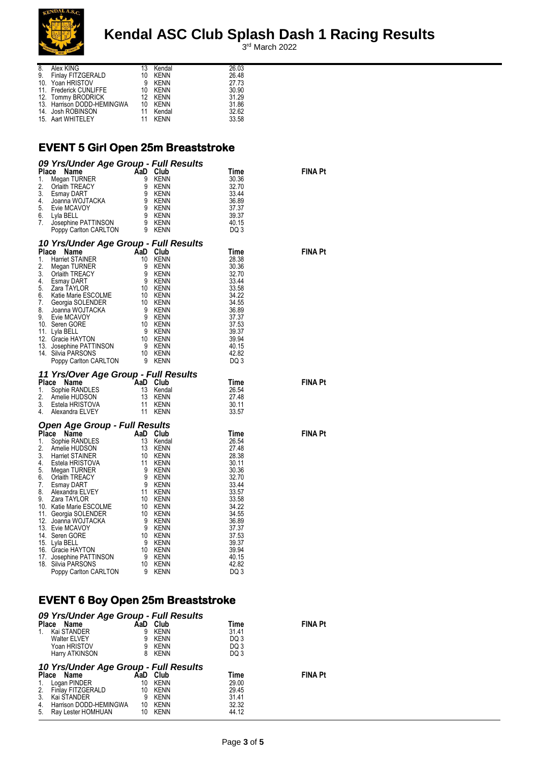

3 rd March 2022

| 8. | Alex KING                          | 13 Kendal | 26.03 |
|----|------------------------------------|-----------|-------|
|    | 9. Finlay FITZGERALD               | 10 KENN   | 26.48 |
|    | 10. Yoan HRISTOV                   | 9 KENN    | 27.73 |
|    | 11. Frederick CUNLIFFE             | 10 KENN   | 30.90 |
|    | 12. Tommy BRODRICK                 | 12 KENN   | 31.29 |
|    | 13. Harrison DODD-HEMINGWA 10 KENN |           | 31.86 |
|    | 14. Josh ROBINSON                  | 11 Kendal | 32.62 |
|    | 15. Aart WHITELEY                  | 11 KFNN   | 33.58 |

#### **EVENT 5 Girl Open 25m Breaststroke**

| 09 Yrs/Under Age Group - Full Results                                                                                                                                                                                                                                                                                                             |  |                                                                                                                                                               |                |
|---------------------------------------------------------------------------------------------------------------------------------------------------------------------------------------------------------------------------------------------------------------------------------------------------------------------------------------------------|--|---------------------------------------------------------------------------------------------------------------------------------------------------------------|----------------|
| Comparison and Manufacture<br>Club<br>Megan TURNER<br>Club Megan TURNER<br>Club Megan TURNER<br>Club Megan WOJTACKA<br>Simple MCAVOY<br>Evie MCAVOY<br>Lyla BELL<br>Josephine PATTINSON<br>Poppy Carlton CARLTON<br>Poppy Carlton CARLTON<br>9 KENN<br>P<br>Place<br>1.<br>2.<br>3.<br>4.<br>5.<br>6.<br>7.                                       |  | Time<br>30.36<br>32.70<br>33.44<br>36.89<br>37.37<br>39.37<br>40.15<br>DQ 3                                                                                   | <b>FINA Pt</b> |
|                                                                                                                                                                                                                                                                                                                                                   |  |                                                                                                                                                               |                |
| Poppy California Company California Company California Company California Company California Company California Company California Company California Company California Company California Company California Company Califor                                                                                                                    |  | Time<br>28.38<br>30.36<br>32.70<br>33.44<br>33.58<br>34.22<br>34.55<br>36.89<br>37.37<br>37.53<br>39.37<br>39.94<br>40.15<br>42.82<br>DQ 3                    | <b>FINA Pt</b> |
|                                                                                                                                                                                                                                                                                                                                                   |  | Time<br>26.54                                                                                                                                                 | <b>FINA Pt</b> |
| <b>11 Yrs/Over Age Group - Full Results<br/> Place Name AaD Club<br/> 1. Sophie RANDLES 13 Kendal<br/> 2. Amelie HUDSON 13 KENN<br/> 3. Estela HRISTOVA 11 KENN<br/> 4. Alexandra ELVEY 11 KENN</b><br>Place Name<br>1. Sophie RANDLES<br>1. Sophie RANDLES<br>2. Amelie HUDSON<br>3. Estela HRISTOVA<br>4. Alexandra ELVEY<br>11 KENN<br>11 KENN |  | 27.48<br>30.11<br>33.57                                                                                                                                       |                |
| Open Age Group - Full Results                                                                                                                                                                                                                                                                                                                     |  |                                                                                                                                                               |                |
| <b>Open Age Group - Full Results<br/> Place Name AaD Club<br/> 1. Sophie RANDLES 13 Kendal<br/> 2. Amelie HUDSON 13 KENN<br/> 4. Estela HRISTOVA 11 KENN<br/> 4. Estela HRISTOVA 11 KENN<br/> 5. Megan TURNER 9 KENN<br/> 6. Orlaith TREACY 9 KENN<br/> 7. Esmay</b>                                                                              |  | Time<br>26.54<br>27.48<br>28.38<br>30.11<br>30.36<br>32.70<br>33.44<br>33.57<br>33.58<br>34.22<br>34.55<br>36.89<br>37.37<br>37.53<br>39.37<br>39.94<br>40.15 | <b>FINA Pt</b> |

#### **EVENT 6 Boy Open 25m Breaststroke**

|                      | 09 Yrs/Under Age Group - Full Results                                                                                                                   |                                  |                                                                          |                                                   |                |
|----------------------|---------------------------------------------------------------------------------------------------------------------------------------------------------|----------------------------------|--------------------------------------------------------------------------|---------------------------------------------------|----------------|
|                      | Place Name                                                                                                                                              | AaD                              | Club                                                                     | Time                                              | <b>FINA Pt</b> |
|                      | Kai STANDER                                                                                                                                             | 9                                | <b>KENN</b>                                                              | 31.41                                             |                |
|                      | <b>Walter ELVEY</b>                                                                                                                                     | 9                                | <b>KENN</b>                                                              | DQ 3                                              |                |
|                      | Yoan HRISTOV                                                                                                                                            | 9                                | <b>KENN</b>                                                              | DQ 3                                              |                |
|                      | Harry ATKINSON                                                                                                                                          | 8                                | <b>KENN</b>                                                              | DQ 3                                              |                |
| 2.<br>3.<br>4.<br>5. | 10 Yrs/Under Age Group - Full Results<br>Place Name<br>Logan PINDER<br>Finlay FITZGERALD<br>Kai STANDER<br>Harrison DODD-HEMINGWA<br>Ray Lester HOMHUAN | AaD<br>10<br>10<br>9<br>10<br>10 | Club<br><b>KENN</b><br><b>KENN</b><br><b>KENN</b><br><b>KENN</b><br>KENN | Time<br>29.00<br>29.45<br>31.41<br>32.32<br>44.12 | <b>FINA Pt</b> |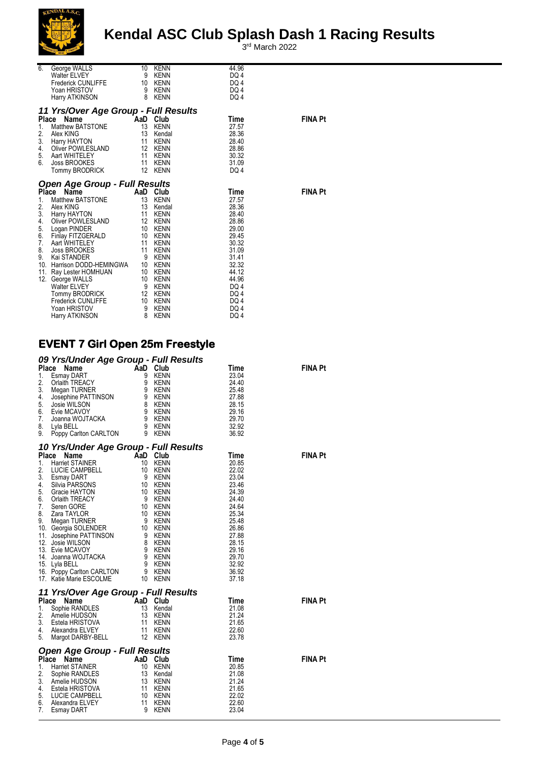

3 rd March 2022

| 6.                                      | George WALLS<br>Walter ELVEY<br>Frederick CUNLIFFE 10<br>Yoan HRISTOV<br>Harry ATKINSON                                                                                                                                                                                                                                                                                  | 10<br>9<br>- 9<br>8                      | KENN<br>KENN<br>KENN<br>KENN<br><b>KENN</b>                                                                                                      | 44.96<br>DQ 4<br>DQ 4<br>DQ 4<br>DQ 4                                                                                                            |                |
|-----------------------------------------|--------------------------------------------------------------------------------------------------------------------------------------------------------------------------------------------------------------------------------------------------------------------------------------------------------------------------------------------------------------------------|------------------------------------------|--------------------------------------------------------------------------------------------------------------------------------------------------|--------------------------------------------------------------------------------------------------------------------------------------------------|----------------|
|                                         | 11 Yrs/Over Age Group - Full Results                                                                                                                                                                                                                                                                                                                                     |                                          |                                                                                                                                                  |                                                                                                                                                  |                |
| 1.<br>2.<br>4.<br>5.<br>6.              | Place<br>Name<br><b>Example 2</b> AaD Club<br>Matthew BATSTONE<br>Alex KING<br>3. Harry HAYTON<br>Oliver POWLESLAND<br>Aart WHITELEY<br>Joss BROOKES<br>Tommy BRODRICK 12 KENN                                                                                                                                                                                           | $\overline{13}$<br>$\overline{13}$<br>11 | KENN<br>Kendal<br>KENN<br>12 KENN<br>11 KENN<br>11 KENN                                                                                          | Time<br>27.57<br>28.36<br>28.40<br>28.86<br>30.32<br>31.09<br>DQ 4                                                                               | <b>FINA Pt</b> |
|                                         | <b>Open Age Group - Full Results</b><br>Place Name                                                                                                                                                                                                                                                                                                                       |                                          | AaD Club                                                                                                                                         | Time                                                                                                                                             | <b>FINA Pt</b> |
| 1.<br>2.<br>4.<br>7.<br>8.<br>9.<br>12. | Matthew BATSTONE<br>Alex KING<br>3. Harry HAYTON<br>Oliver POWLESLAND 12 KENN<br>5. Logan PINDER<br>6. Finlay FITZGERALD<br>Aart WHITELEY<br>Joss BROOKES<br>Kai STANDER<br>10. Harrison DODD-HEMINGWA 10 KENN<br>11. Ray Lester HOMHUAN 10 KENN<br>George WALLS<br><b>Walter ELVEY</b><br>Tommy BRODRICK<br><b>Frederick CUNLIFFE</b><br>Yoan HRISTOV<br>Harry ATKINSON | 10<br>11<br>11<br>9<br>10<br>9<br>8      | 13 KENN<br>13 Kendal<br>11 KENN<br>10 KENN<br>KENN<br>KENN<br>KENN<br><b>KENN</b><br>10 KENN<br>9 KENN<br>12 KENN<br>KENN<br>KENN<br><b>KENN</b> | 27.57<br>28.36<br>28.40<br>28.86<br>29.00<br>29.45<br>30.32<br>31.09<br>31.41<br>32.32<br>44.12<br>44.96<br>DQ 4<br>DQ 4<br>DQ 4<br>DQ 4<br>DQ 4 |                |

### **EVENT 7 Girl Open 25m Freestyle**

| 1.<br>2.<br>3.<br>4.<br>5.<br>6.<br>7.<br>8.<br>9. | 09 Yrs/Under Age Group - Full Results<br>Place<br>CREAD CONNECT AND CITY<br>CREAD CONNECT AND CITY<br>CERT OF SEARCH AND ORIGINAL CONSUMING THE ACCY<br>Megan TURNER<br>Josephine PATTINSON<br>Lydia BELL<br>Lydia BELL<br>Poppy Carlton CARLTON 9 KENN<br>Poppy Carlton CARLTON 9 KENN<br>Poppy C |                                                          |                                                      | Time<br>23.04<br>24.40<br>25.48<br>27.88<br>28.15<br>29.16<br>29.70<br>32.92<br>36.92                                                                         | <b>FINA Pt</b> |
|----------------------------------------------------|----------------------------------------------------------------------------------------------------------------------------------------------------------------------------------------------------------------------------------------------------------------------------------------------------|----------------------------------------------------------|------------------------------------------------------|---------------------------------------------------------------------------------------------------------------------------------------------------------------|----------------|
|                                                    | 10 Yrs/Under Age Group - Full Results<br>10 Yrs/Under Age Group - Full I<br>Place Name<br>1. Harriet STAINER<br>10 Club<br>2. LUCIE CAMPBELL<br>3. Esmay DART<br>3. Esmay DART<br>4. Silvia PARSONS<br>5. Gracie HAYTON<br>6. Orlaith TREACY<br>7. Seren GORE<br>7. Seren GORE<br>7. Seren GORE    |                                                          |                                                      | Time<br>20.85<br>22.02<br>23.04<br>23.46<br>24.39<br>24.40<br>24.64<br>25.34<br>25.48<br>26.86<br>27.88<br>28.15<br>29.16<br>29.70<br>32.92<br>36.92<br>37.18 | <b>FINA Pt</b> |
| 1.<br>2.<br>3.<br>4.<br>5.                         | 11 Yrs/Over Age Group - Full Results<br>Place<br>Compile RANDLES<br>Sophie RANDLES<br>And Club<br>Sophie RANDLES<br>And Club<br>Alexandra ELVEY<br>Alexandra ELVEY<br>11 KENN<br>Alexandra ELVEY<br>11 KENN<br>Alexandra ELVEY<br>Margot DARBY-BELL                                                |                                                          | Kendal<br>KENN<br>KENN<br><b>KENN</b><br>12 KENN     | Time<br>21.08<br>21.24<br>21.65<br>22.60<br>23.78                                                                                                             | <b>FINA Pt</b> |
| 1.<br>2.<br>3.<br>4.<br>5.<br>6.<br>7.             | <b>Open Age Group - Full Results</b><br>Place<br>Name<br>AaD Club<br>10 KENN<br>Harriet STAINER<br>Sophie RANDLES<br>Amelie HUDSON<br>13 Kendal<br>Amelie HUDSON<br>14 KENN<br>Estela HRISTOVA<br>LUCIE CAMPBELL<br>Alexandra ELVEY<br><b>Esmay DART</b>                                           | 11<br>$\begin{array}{c} 11 \\ 10 \end{array}$<br>11<br>9 | Kendal<br>KENN<br>KENN<br><b>KENN</b><br><b>KENN</b> | Time<br>20.85<br>21.08<br>21.24<br>21.65<br>22.02<br>22.60<br>23.04                                                                                           | <b>FINA Pt</b> |